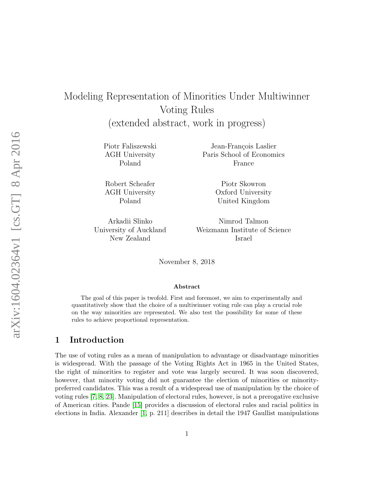# Modeling Representation of Minorities Under Multiwinner Voting Rules

(extended abstract, work in progress)

Piotr Faliszewski AGH University Poland

Robert Scheafer AGH University Poland

Arkadii Slinko University of Auckland New Zealand

Jean-François Laslier Paris School of Economics France

> Piotr Skowron Oxford University United Kingdom

Nimrod Talmon Weizmann Institute of Science Israel

November 8, 2018

#### Abstract

The goal of this paper is twofold. First and foremost, we aim to experimentally and quantitatively show that the choice of a multiwinner voting rule can play a crucial role on the way minorities are represented. We also test the possibility for some of these rules to achieve proportional representation.

# 1 Introduction

The use of voting rules as a mean of manipulation to advantage or disadvantage minorities is widespread. With the passage of the Voting Rights Act in 1965 in the United States, the right of minorities to register and vote was largely secured. It was soon discovered, however, that minority voting did not guarantee the election of minorities or minoritypreferred candidates. This was a result of a widespread use of manipulation by the choice of voting rules [\[7,](#page-12-0) [8,](#page-12-1) [23\]](#page-13-0). Manipulation of electoral rules, however, is not a prerogative exclusive of American cities. Pande [\[15\]](#page-13-1) provides a discussion of electoral rules and racial politics in elections in India. Alexander [\[1,](#page-12-2) p. 211] describes in detail the 1947 Gaullist manipulations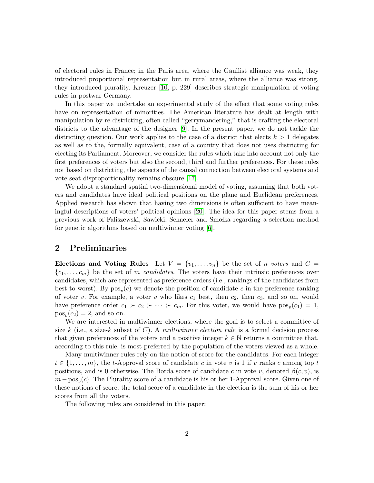of electoral rules in France; in the Paris area, where the Gaullist alliance was weak, they introduced proportional representation but in rural areas, where the alliance was strong, they introduced plurality. Kreuzer [\[10,](#page-12-3) p. 229] describes strategic manipulation of voting rules in postwar Germany.

In this paper we undertake an experimental study of the effect that some voting rules have on representation of minorities. The American literature has dealt at length with manipulation by re-districting, often called "gerrymandering," that is crafting the electoral districts to the advantage of the designer [\[9\]](#page-12-4). In the present paper, we do not tackle the districting question. Our work applies to the case of a district that elects  $k > 1$  delegates as well as to the, formally equivalent, case of a country that does not uses districting for electing its Parliament. Moreover, we consider the rules which take into account not only the first preferences of voters but also the second, third and further preferences. For these rules not based on districting, the aspects of the causal connection between electoral systems and vote-seat disproportionality remains obscure [\[17\]](#page-13-2).

We adopt a standard spatial two-dimensional model of voting, assuming that both voters and candidates have ideal political positions on the plane and Euclidean preferences. Applied research has shown that having two dimensions is often sufficient to have meaningful descriptions of voters' political opinions [\[20\]](#page-13-3). The idea for this paper stems from a previous work of Faliszewski, Sawicki, Schaefer and Smolka regarding a selection method for genetic algorithms based on multiwinner voting [\[6\]](#page-12-5).

### 2 Preliminaries

Elections and Voting Rules Let  $V = \{v_1, \ldots, v_n\}$  be the set of *n voters* and  $C =$  $\{c_1, \ldots, c_m\}$  be the set of m candidates. The voters have their intrinsic preferences over candidates, which are represented as preference orders (i.e., rankings of the candidates from best to worst). By  $pos_v(c)$  we denote the position of candidate c in the preference ranking of voter v. For example, a voter v who likes  $c_1$  best, then  $c_2$ , then  $c_3$ , and so on, would have preference order  $c_1 \succ c_2 \succ \cdots \succ c_m$ . For this voter, we would have  $pos_v(c_1) = 1$ ,  $pos_v(c_2) = 2$ , and so on.

We are interested in multiwinner elections, where the goal is to select a committee of size k (i.e., a size-k subset of C). A multiwinner election rule is a formal decision process that given preferences of the voters and a positive integer  $k \in \mathbb{N}$  returns a committee that, according to this rule, is most preferred by the population of the voters viewed as a whole.

Many multiwinner rules rely on the notion of score for the candidates. For each integer  $t \in \{1, \ldots, m\}$ , the t-Approval score of candidate c in vote v is 1 if v ranks c among top t positions, and is 0 otherwise. The Borda score of candidate c in vote v, denoted  $\beta(c, v)$ , is  $m - \text{pos}_v(c)$ . The Plurality score of a candidate is his or her 1-Approval score. Given one of these notions of score, the total score of a candidate in the election is the sum of his or her scores from all the voters.

The following rules are considered in this paper: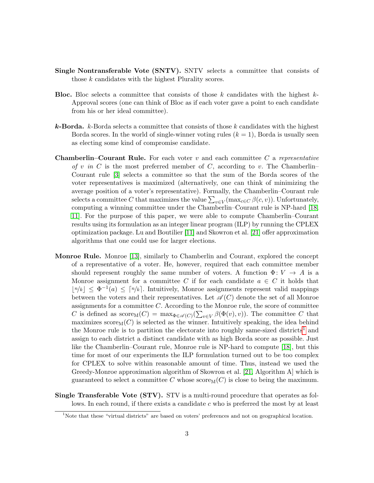- Single Nontransferable Vote (SNTV). SNTV selects a committee that consists of those k candidates with the highest Plurality scores.
- **Bloc.** Bloc selects a committee that consists of those k candidates with the highest  $k$ -Approval scores (one can think of Bloc as if each voter gave a point to each candidate from his or her ideal committee).
- **k-Borda.** k-Borda selects a committee that consists of those k candidates with the highest Borda scores. In the world of single-winner voting rules  $(k = 1)$ , Borda is usually seen as electing some kind of compromise candidate.
- **Chamberlin–Courant Rule.** For each voter v and each committee C a representative of v in C is the most preferred member of C, according to v. The Chamberlin– Courant rule [\[3\]](#page-12-6) selects a committee so that the sum of the Borda scores of the voter representatives is maximized (alternatively, one can think of minimizing the average position of a voter's representative). Formally, the Chamberlin–Courant rule selects a committee C that maximizes the value  $\sum_{v \in V} (\max_{c \in C} \beta(c, v))$ . Unfortunately, computing a winning committee under the Chamberlin–Courant rule is NP-hard [\[18,](#page-13-4) [11\]](#page-12-7). For the purpose of this paper, we were able to compute Chamberlin–Courant results using its formulation as an integer linear program (ILP) by running the CPLEX optimization package. Lu and Boutilier [\[11\]](#page-12-7) and Skowron et al. [\[21\]](#page-13-5) offer approximation algorithms that one could use for larger elections.
- Monroe Rule. Monroe [\[13\]](#page-12-8), similarly to Chamberlin and Courant, explored the concept of a representative of a voter. He, however, required that each committee member should represent roughly the same number of voters. A function  $\Phi: V \to A$  is a Monroe assignment for a committee C if for each candidate  $a \in C$  it holds that  $|n/k| \leq \Phi^{-1}(a) \leq [n/k]$ . Intuitively, Monroe assignments represent valid mappings between the voters and their representatives. Let  $\mathscr{A}(C)$  denote the set of all Monroe assignments for a committee  $C$ . According to the Monroe rule, the score of committee C is defined as  $score_M(C) = max_{\Phi \in \mathscr{A}(C)}(\sum_{v \in V} \beta(\Phi(v), v))$ . The committee C that maximizes  $score_M(C)$  is selected as the winner. Intuitively speaking, the idea behind the Monroe rule is to partition the electorate into roughly same-sized districts<sup>[1](#page-2-0)</sup> and assign to each district a distinct candidate with as high Borda score as possible. Just like the Chamberlin–Courant rule, Monroe rule is NP-hard to compute [\[18\]](#page-13-4), but this time for most of our experiments the ILP formulation turned out to be too complex for CPLEX to solve within reasonable amount of time. Thus, instead we used the Greedy-Monroe approximation algorithm of Skowron et al. [\[21,](#page-13-5) Algorithm A] which is guaranteed to select a committee C whose  $score_M(C)$  is close to being the maximum.
- Single Transferable Vote (STV). STV is a multi-round procedure that operates as follows. In each round, if there exists a candidate c who is preferred the most by at least

<span id="page-2-0"></span><sup>&</sup>lt;sup>1</sup>Note that these "virtual districts" are based on voters' preferences and not on geographical location.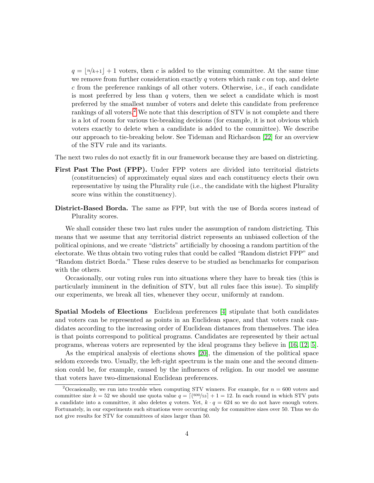$q = |n/k+1| + 1$  voters, then c is added to the winning committee. At the same time we remove from further consideration exactly  $q$  voters which rank  $c$  on top, and delete c from the preference rankings of all other voters. Otherwise, i.e., if each candidate is most preferred by less than  $q$  voters, then we select a candidate which is most preferred by the smallest number of voters and delete this candidate from preference rankings of all voters.[2](#page-3-0) We note that this description of STV is not complete and there is a lot of room for various tie-breaking decisions (for example, it is not obvious which voters exactly to delete when a candidate is added to the committee). We describe our approach to tie-breaking below. See Tideman and Richardson [\[22\]](#page-13-6) for an overview of the STV rule and its variants.

The next two rules do not exactly fit in our framework because they are based on districting.

- First Past The Post (FPP). Under FPP voters are divided into territorial districts (constituencies) of approximately equal sizes and each constituency elects their own representative by using the Plurality rule (i.e., the candidate with the highest Plurality score wins within the constituency).
- District-Based Borda. The same as FPP, but with the use of Borda scores instead of Plurality scores.

We shall consider these two last rules under the assumption of random districting. This means that we assume that any territorial district represents an unbiased collection of the political opinions, and we create "districts" artificially by choosing a random partition of the electorate. We thus obtain two voting rules that could be called "Random district FPP" and "Random district Borda." These rules deserve to be studied as benchmarks for comparison with the others.

Occasionally, our voting rules run into situations where they have to break ties (this is particularly imminent in the definition of STV, but all rules face this issue). To simplify our experiments, we break all ties, whenever they occur, uniformly at random.

Spatial Models of Elections Euclidean preferences [\[4\]](#page-12-9) stipulate that both candidates and voters can be represented as points in an Euclidean space, and that voters rank candidates according to the increasing order of Euclidean distances from themselves. The idea is that points correspond to political programs. Candidates are represented by their actual programs, whereas voters are represented by the ideal programs they believe in [\[16,](#page-13-7) [12,](#page-12-10) [5\]](#page-12-11).

As the empirical analysis of elections shows [\[20\]](#page-13-3), the dimension of the political space seldom exceeds two. Usually, the left-right spectrum is the main one and the second dimension could be, for example, caused by the influences of religion. In our model we assume that voters have two-dimensional Euclidean preferences.

<span id="page-3-0"></span><sup>&</sup>lt;sup>2</sup>Occasionally, we run into trouble when computing STV winners. For example, for  $n = 600$  voters and committee size  $k = 52$  we should use quota value  $q = \lceil (600/53) + 1 \rceil = 12$ . In each round in which STV puts a candidate into a committee, it also deletes q voters. Yet,  $k \cdot q = 624$  so we do not have enough voters. Fortunately, in our experiments such situations were occurring only for committee sizes over 50. Thus we do not give results for STV for committees of sizes larger than 50.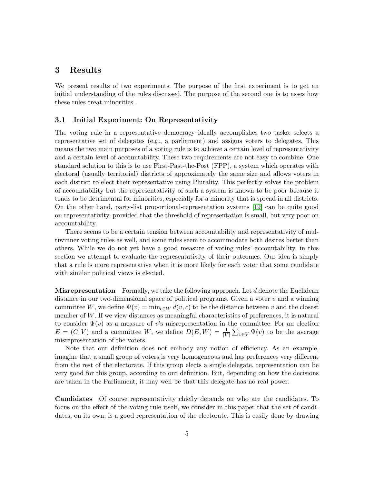# 3 Results

We present results of two experiments. The purpose of the first experiment is to get an initial understanding of the rules discussed. The purpose of the second one is to asses how these rules treat minorities.

#### 3.1 Initial Experiment: On Representativity

The voting rule in a representative democracy ideally accomplishes two tasks: selects a representative set of delegates (e.g., a parliament) and assigns voters to delegates. This means the two main purposes of a voting rule is to achieve a certain level of representativity and a certain level of accountability. These two requirements are not easy to combine. One standard solution to this is to use First-Past-the-Post (FPP), a system which operates with electoral (usually territorial) districts of approximately the same size and allows voters in each district to elect their representative using Plurality. This perfectly solves the problem of accountability but the representativity of such a system is known to be poor because it tends to be detrimental for minorities, especially for a minority that is spread in all districts. On the other hand, party-list proportional-representation systems [\[19\]](#page-13-8) can be quite good on representativity, provided that the threshold of representation is small, but very poor on accountability.

There seems to be a certain tension between accountability and representativity of multiwinner voting rules as well, and some rules seem to accommodate both desires better than others. While we do not yet have a good measure of voting rules' accountability, in this section we attempt to evaluate the representativity of their outcomes. Our idea is simply that a rule is more representative when it is more likely for each voter that some candidate with similar political views is elected.

**Misrepresentation** Formally, we take the following approach. Let  $d$  denote the Euclidean distance in our two-dimensional space of political programs. Given a voter  $v$  and a winning committee W, we define  $\Psi(v) = \min_{c \in W} d(v, c)$  to be the distance between v and the closest member of  $W$ . If we view distances as meaningful characteristics of preferences, it is natural to consider  $\Psi(v)$  as a measure of v's misrepresentation in the committee. For an election  $E = (C, V)$  and a committee W, we define  $D(E, W) = \frac{1}{|V|} \sum_{v \in V} \Psi(v)$  to be the average misrepresentation of the voters.

Note that our definition does not embody any notion of efficiency. As an example, imagine that a small group of voters is very homogeneous and has preferences very different from the rest of the electorate. If this group elects a single delegate, representation can be very good for this group, according to our definition. But, depending on how the decisions are taken in the Parliament, it may well be that this delegate has no real power.

Candidates Of course representativity chiefly depends on who are the candidates. To focus on the effect of the voting rule itself, we consider in this paper that the set of candidates, on its own, is a good representation of the electorate. This is easily done by drawing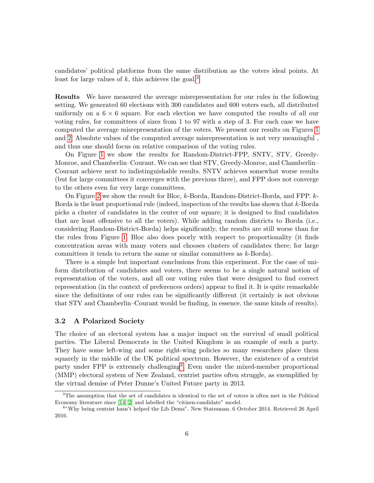candidates' political platforms from the same distribution as the voters ideal points. At least for large values of  $k$ , this achieves the goal.<sup>[3](#page-5-0)</sup>

Results We have measured the average misrepresentation for our rules in the following setting. We generated 60 elections with 300 candidates and 600 voters each, all distributed uniformly on a  $6 \times 6$  square. For each election we have computed the results of all our voting rules, for committees of sizes from 1 to 97 with a step of 3. For each case we have computed the average misrepresentation of the voters. We present our results on Figures [1](#page-6-0) and [2.](#page-6-0) Absolute values of the computed average misrepresentation is not very meaningful , and thus one should focus on relative comparison of the voting rules.

On Figure [1](#page-6-0) we show the results for Random-District-FPP, SNTV, STV, Greedy-Monroe, and Chamberlin–Courant. We can see that STV, Greedy-Monroe, and Chamberlin– Courant achieve next to indistinguishable results. SNTV achieves somewhat worse results (but for large committees it converges with the previous three), and FPP does not converge to the others even for very large committees.

On Figure [2](#page-6-0) we show the result for Bloc, k-Borda, Random-District-Borda, and FPP. k-Borda is the least proportional rule (indeed, inspection of the results has shown that k-Borda picks a cluster of candidates in the center of our square; it is designed to find candidates that are least offensive to all the voters). While adding random districts to Borda (i.e., considering Random-District-Borda) helps significantly, the results are still worse than for the rules from Figure [1.](#page-6-0) Bloc also does poorly with respect to proportionality (it finds concentration areas with many voters and chooses clusters of candidates there; for large committees it tends to return the same or similar committees as  $k$ -Borda).

There is a simple but important conclusions from this experiment. For the case of uniform distribution of candidates and voters, there seems to be a single natural notion of representation of the voters, and all our voting rules that were designed to find correct representation (in the context of preferences orders) appear to find it. It is quite remarkable since the definitions of our rules can be significantly different (it certainly is not obvious that STV and Chamberlin–Courant would be finding, in essence, the same kinds of results).

#### 3.2 A Polarized Society

The choice of an electoral system has a major impact on the survival of small political parties. The Liberal Democrats in the United Kingdom is an example of such a party. They have some left-wing and some right-wing policies so many researchers place them squarely in the middle of the UK political spectrum. However, the existence of a centrist party under FPP is extremely challenging<sup>[4](#page-5-1)</sup>. Even under the mixed-member proportional (MMP) electoral system of New Zealand, centrist parties often struggle, as exemplified by the virtual demise of Peter Dunne's United Future party in 2013.

<span id="page-5-0"></span><sup>3</sup>The assumption that the set of candidates is identical to the set of voters is often met in the Political Economy literature since [\[14,](#page-12-12) [2\]](#page-12-13) and labelled the "citizen-candidate" model.

<span id="page-5-1"></span><sup>4</sup> "Why being centrist hasn't helped the Lib Dems". New Statesman. 6 October 2014. Retrieved 26 April 2016.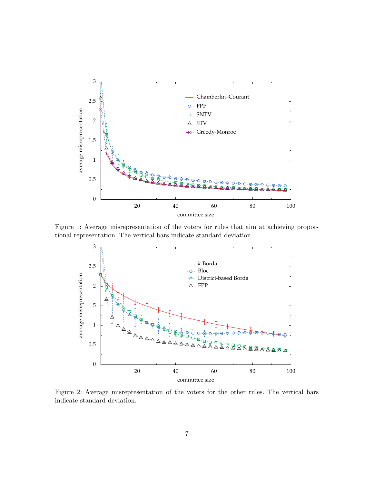<span id="page-6-0"></span>

Figure 1: Average misrepresentation of the voters for rules that aim at achieving proportional representation. The vertical bars indicate standard deviation.



Figure 2: Average misrepresentation of the voters for the other rules. The vertical bars indicate standard deviation.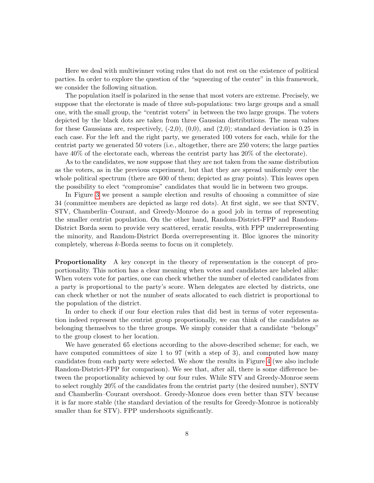Here we deal with multiwinner voting rules that do not rest on the existence of political parties. In order to explore the question of the "squeezing of the center" in this framework, we consider the following situation.

The population itself is polarized in the sense that most voters are extreme. Precisely, we suppose that the electorate is made of three sub-populations: two large groups and a small one, with the small group, the "centrist voters" in between the two large groups. The voters depicted by the black dots are taken from three Gaussian distributions. The mean values for these Gaussians are, respectively,  $(-2,0)$ ,  $(0,0)$ , and  $(2,0)$ ; standard deviation is 0.25 in each case. For the left and the right party, we generated 100 voters for each, while for the centrist party we generated 50 voters (i.e., altogether, there are 250 voters; the large parties have  $40\%$  of the electorate each, whereas the centrist party has  $20\%$  of the electorate).

As to the candidates, we now suppose that they are not taken from the same distribution as the voters, as in the previous experiment, but that they are spread uniformly over the whole political spectrum (there are 600 of them; depicted as gray points). This leaves open the possibility to elect "compromise" candidates that would lie in between two groups.

In Figure [3](#page-8-0) we present a sample election and results of choosing a committee of size 34 (committee members are depicted as large red dots). At first sight, we see that SNTV, STV, Chamberlin–Courant, and Greedy-Monroe do a good job in terms of representing the smaller centrist population. On the other hand, Random-District-FPP and Random-District Borda seem to provide very scattered, erratic results, with FPP underrepresenting the minority, and Random-District Borda overrepresenting it. Bloc ignores the minority completely, whereas k-Borda seems to focus on it completely.

Proportionality A key concept in the theory of representation is the concept of proportionality. This notion has a clear meaning when votes and candidates are labeled alike: When voters vote for parties, one can check whether the number of elected candidates from a party is proportional to the party's score. When delegates are elected by districts, one can check whether or not the number of seats allocated to each district is proportional to the population of the district.

In order to check if our four election rules that did best in terms of voter representation indeed represent the centrist group proportionally, we can think of the candidates as belonging themselves to the three groups. We simply consider that a candidate "belongs" to the group closest to her location.

We have generated 65 elections according to the above-described scheme; for each, we have computed committees of size 1 to 97 (with a step of 3), and computed how many candidates from each party were selected. We show the results in Figure [4](#page-9-0) (we also include Random-District-FPP for comparison). We see that, after all, there is some difference between the proportionality achieved by our four rules. While STV and Greedy-Monroe seem to select roughly 20% of the candidates from the centrist party (the desired number), SNTV and Chamberlin–Courant overshoot. Greedy-Monroe does even better than STV because it is far more stable (the standard deviation of the results for Greedy-Monroe is noticeably smaller than for STV). FPP undershoots significantly.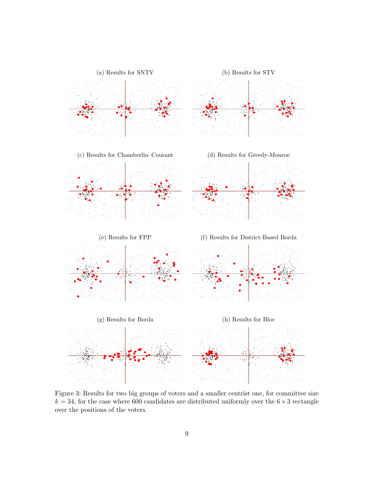<span id="page-8-0"></span>

Figure 3: Results for two big groups of voters and a smaller centrist one, for committee size  $k = 34$ , for the case where 600 candidates are distributed uniformly over the  $6 \times 3$  rectangle over the positions of the voters.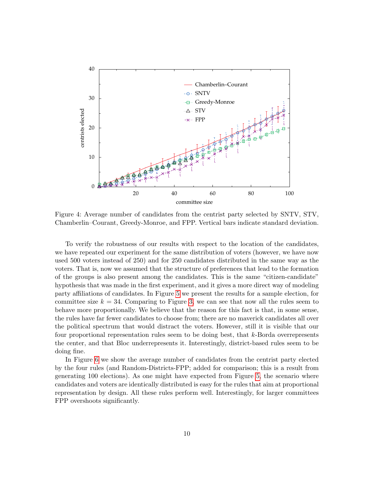<span id="page-9-0"></span>

Figure 4: Average number of candidates from the centrist party selected by SNTV, STV, Chamberlin–Courant, Greedy-Monroe, and FPP. Vertical bars indicate standard deviation.

To verify the robustness of our results with respect to the location of the candidates, we have repeated our experiment for the same distribution of voters (however, we have now used 500 voters instead of 250) and for 250 candidates distributed in the same way as the voters. That is, now we assumed that the structure of preferences that lead to the formation of the groups is also present among the candidates. This is the same "citizen-candidate" hypothesis that was made in the first experiment, and it gives a more direct way of modeling party affiliations of candidates. In Figure [5](#page-10-0) we present the results for a sample election, for committee size  $k = 34$ . Comparing to Figure [3,](#page-8-0) we can see that now all the rules seem to behave more proportionally. We believe that the reason for this fact is that, in some sense, the rules have far fewer candidates to choose from; there are no maverick candidates all over the political spectrum that would distract the voters. However, still it is visible that our four proportional representation rules seem to be doing best, that  $k$ -Borda overrepresents the center, and that Bloc underrepresents it. Interestingly, district-based rules seem to be doing fine.

In Figure [6](#page-11-0) we show the average number of candidates from the centrist party elected by the four rules (and Random-Districts-FPP; added for comparison; this is a result from generating 100 elections). As one might have expected from Figure [5,](#page-10-0) the scenario where candidates and voters are identically distributed is easy for the rules that aim at proportional representation by design. All these rules perform well. Interestingly, for larger committees FPP overshoots significantly.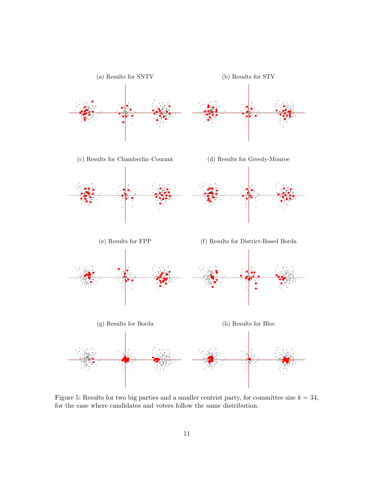<span id="page-10-0"></span>

Figure 5: Results for two big parties and a smaller centrist party, for committee size  $k = 34$ , for the case where candidates and voters follow the same distribution.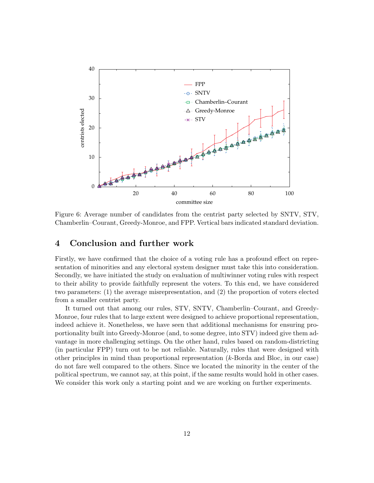<span id="page-11-0"></span>

Figure 6: Average number of candidates from the centrist party selected by SNTV, STV, Chamberlin–Courant, Greedy-Monroe, and FPP. Vertical bars indicated standard deviation.

## 4 Conclusion and further work

Firstly, we have confirmed that the choice of a voting rule has a profound effect on representation of minorities and any electoral system designer must take this into consideration. Secondly, we have initiated the study on evaluation of multiwinner voting rules with respect to their ability to provide faithfully represent the voters. To this end, we have considered two parameters: (1) the average misrepresentation, and (2) the proportion of voters elected from a smaller centrist party.

It turned out that among our rules, STV, SNTV, Chamberlin–Courant, and Greedy-Monroe, four rules that to large extent were designed to achieve proportional representation, indeed achieve it. Nonetheless, we have seen that additional mechanisms for ensuring proportionality built into Greedy-Monroe (and, to some degree, into STV) indeed give them advantage in more challenging settings. On the other hand, rules based on random-districting (in particular FPP) turn out to be not reliable. Naturally, rules that were designed with other principles in mind than proportional representation (k-Borda and Bloc, in our case) do not fare well compared to the others. Since we located the minority in the center of the political spectrum, we cannot say, at this point, if the same results would hold in other cases. We consider this work only a starting point and we are working on further experiments.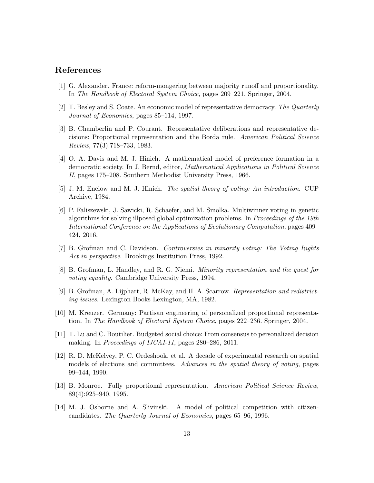## References

- <span id="page-12-2"></span>[1] G. Alexander. France: reform-mongering between majority runoff and proportionality. In The Handbook of Electoral System Choice, pages 209–221. Springer, 2004.
- <span id="page-12-13"></span>[2] T. Besley and S. Coate. An economic model of representative democracy. The Quarterly Journal of Economics, pages 85–114, 1997.
- <span id="page-12-6"></span>[3] B. Chamberlin and P. Courant. Representative deliberations and representative decisions: Proportional representation and the Borda rule. American Political Science Review, 77(3):718–733, 1983.
- <span id="page-12-9"></span>[4] O. A. Davis and M. J. Hinich. A mathematical model of preference formation in a democratic society. In J. Bernd, editor, Mathematical Applications in Political Science II, pages 175–208. Southern Methodist University Press, 1966.
- <span id="page-12-11"></span>[5] J. M. Enelow and M. J. Hinich. The spatial theory of voting: An introduction. CUP Archive, 1984.
- <span id="page-12-5"></span>[6] P. Faliszewski, J. Sawicki, R. Schaefer, and M. Smolka. Multiwinner voting in genetic algorithms for solving illposed global optimization problems. In Proceedings of the 19th International Conference on the Applications of Evolutionary Computation, pages 409– 424, 2016.
- <span id="page-12-0"></span>[7] B. Grofman and C. Davidson. Controversies in minority voting: The Voting Rights Act in perspective. Brookings Institution Press, 1992.
- <span id="page-12-1"></span>[8] B. Grofman, L. Handley, and R. G. Niemi. Minority representation and the quest for voting equality. Cambridge University Press, 1994.
- <span id="page-12-4"></span>[9] B. Grofman, A. Lijphart, R. McKay, and H. A. Scarrow. Representation and redistricting issues. Lexington Books Lexington, MA, 1982.
- <span id="page-12-3"></span>[10] M. Kreuzer. Germany: Partisan engineering of personalized proportional representation. In The Handbook of Electoral System Choice, pages 222–236. Springer, 2004.
- <span id="page-12-7"></span>[11] T. Lu and C. Boutilier. Budgeted social choice: From consensus to personalized decision making. In *Proceedings of IJCAI-11*, pages 280–286, 2011.
- <span id="page-12-10"></span>[12] R. D. McKelvey, P. C. Ordeshook, et al. A decade of experimental research on spatial models of elections and committees. Advances in the spatial theory of voting, pages 99–144, 1990.
- <span id="page-12-8"></span>[13] B. Monroe. Fully proportional representation. American Political Science Review, 89(4):925–940, 1995.
- <span id="page-12-12"></span>[14] M. J. Osborne and A. Slivinski. A model of political competition with citizencandidates. The Quarterly Journal of Economics, pages 65–96, 1996.